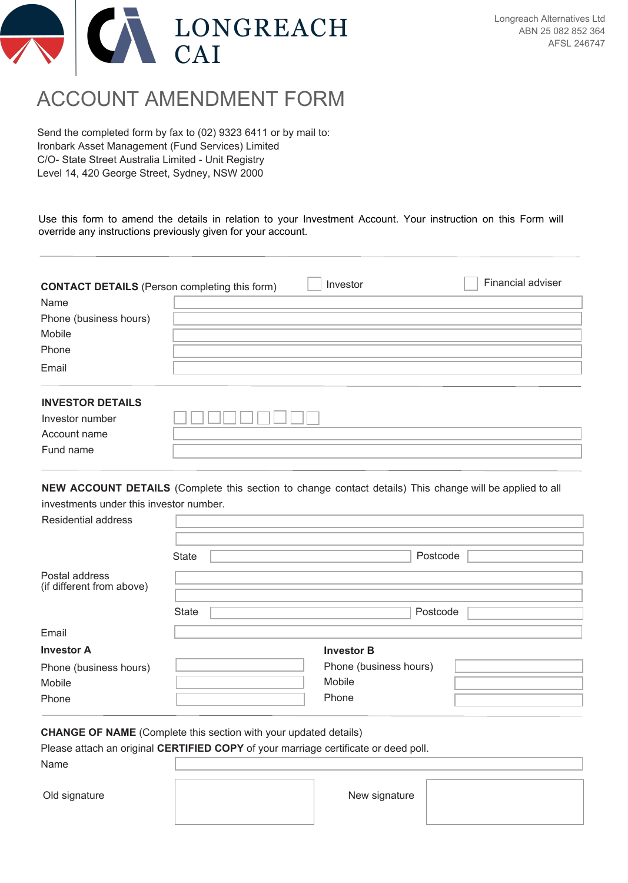

## ACCOUNT AMENDMENT FORM

Send the completed form by fax to (02) 9323 6411 or by mail to: Ironbark Asset Management (Fund Services) Limited C/O- State Street Australia Limited - Unit Registry Level 14, 420 George Street, Sydney, NSW 2000

Use this form to amend the details in relation to your Investment Account. Your instruction on this Form will override any instructions previously given for your account.

| <b>CONTACT DETAILS</b> (Person completing this form) | Investor | Financial adviser |
|------------------------------------------------------|----------|-------------------|
| Name                                                 |          |                   |
| Phone (business hours)                               |          |                   |
| Mobile                                               |          |                   |
| Phone                                                |          |                   |
| Email                                                |          |                   |
| <b>INVESTOR DETAILS</b>                              |          |                   |
| Investor number                                      |          |                   |

**NEW ACCOUNT DETAILS** (Complete this section to change contact details) This change will be applied to all investments under this investor number.

| Residential address                         |              |                        |  |
|---------------------------------------------|--------------|------------------------|--|
|                                             | <b>State</b> | Postcode               |  |
| Postal address<br>(if different from above) |              |                        |  |
|                                             | <b>State</b> | Postcode               |  |
| Email                                       |              |                        |  |
| <b>Investor A</b>                           |              | <b>Investor B</b>      |  |
| Phone (business hours)                      |              | Phone (business hours) |  |
| Mobile                                      |              | Mobile                 |  |
| Phone                                       |              | Phone                  |  |

**CHANGE OF NAME** (Complete this section with your updated details)

Please attach an original **CERTIFIED COPY** of your marriage certificate or deed poll.

Name

Old signature **New signature** New signature

Account name Fund name